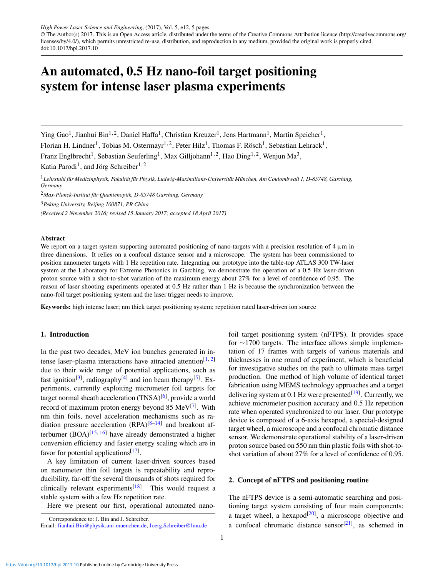*High Power Laser Science and Engineering*, (2017), Vol. 5, e12, 5 pages. © The Author(s) 2017. This is an Open Access article, distributed under the terms of the Creative Commons Attribution licence [\(http://creativecommons.org/](http://creativecommons.org/licenses/by/4.0/) [licenses/by/4.0/\)](http://creativecommons.org/licenses/by/4.0/), which permits unrestricted re-use, distribution, and reproduction in any medium, provided the original work is properly cited. doi:10.1017/hpl.2017.10

# An automated, 0.5 Hz nano-foil target positioning system for intense laser plasma experiments

Ying Gao<sup>1</sup>, Jianhui Bin<sup>1,2</sup>, Daniel Haffa<sup>1</sup>, Christian Kreuzer<sup>1</sup>, Jens Hartmann<sup>1</sup>, Martin Speicher<sup>1</sup>,

Florian H. Lindner<sup>1</sup>, Tobias M. Ostermayr<sup>1, 2</sup>, Peter Hilz<sup>1</sup>, Thomas F. Rösch<sup>1</sup>, Sebastian Lehrack<sup>1</sup>,

Franz Englbrecht<sup>1</sup>, Sebastian Seuferling<sup>1</sup>, Max Gilljohann<sup>1,2</sup>, Hao Ding<sup>1,2</sup>, Wenjun Ma<sup>3</sup>,

Katia Parodi<sup>1</sup>, and Jörg Schreiber<sup>1,2</sup>

<sup>1</sup>Lehrstuhl für Medizinphysik, Fakultät für Physik, Ludwig-Maximilians-Universität München, Am Coulombwall 1, D-85748, Garching, *Germany*

<sup>2</sup>Max-Planck-Institut für Quantenoptik, D-85748 Garching, Germany

<sup>3</sup>*Peking University, Beijing 100871, PR China*

*(Received 2 November 2016; revised 15 January 2017; accepted 18 April 2017)*

## Abstract

We report on a target system supporting automated positioning of nano-targets with a precision resolution of  $4 \mu m$  in three dimensions. It relies on a confocal distance sensor and a microscope. The system has been commissioned to position nanometer targets with 1 Hz repetition rate. Integrating our prototype into the table-top ATLAS 300 TW-laser system at the Laboratory for Extreme Photonics in Garching, we demonstrate the operation of a 0.5 Hz laser-driven proton source with a shot-to-shot variation of the maximum energy about 27% for a level of confidence of 0.95. The reason of laser shooting experiments operated at 0.5 Hz rather than 1 Hz is because the synchronization between the nano-foil target positioning system and the laser trigger needs to improve.

Keywords: high intense laser; nm thick target positioning system; repetition rated laser-driven ion source

### 1. Introduction

In the past two decades, MeV ion bunches generated in in-tense laser–plasma interactions have attracted attention<sup>[\[1,](#page-3-0) [2\]](#page-3-1)</sup> due to their wide range of potential applications, such as fast ignition<sup>[\[3\]](#page-4-0)</sup>, radiography<sup>[\[4\]](#page-4-1)</sup> and ion beam therapy<sup>[\[5\]](#page-4-2)</sup>. Experiments, currently exploiting micrometer foil targets for target normal sheath acceleration (TNSA)<sup>[\[6\]](#page-4-3)</sup>, provide a world record of maximum proton energy beyond 85 MeV<sup>[\[7\]](#page-4-4)</sup>. With nm thin foils, novel acceleration mechanisms such as radiation pressure acceleration  $(RPA)^{[8-14]}$  $(RPA)^{[8-14]}$  $(RPA)^{[8-14]}$  and breakout afterburner (BOA) $[15, 16]$  $[15, 16]$  $[15, 16]$  have already demonstrated a higher conversion efficiency and faster energy scaling which are in favor for potential applications<sup>[\[17\]](#page-4-9)</sup>.

A key limitation of current laser-driven sources based on nanometer thin foil targets is repeatability and reproducibility, far-off the several thousands of shots required for clinically relevant experiments<sup>[\[18\]](#page-4-10)</sup>. This would request a stable system with a few Hz repetition rate.

Here we present our first, operational automated nano-

foil target positioning system (nFTPS). It provides space for ∼1700 targets. The interface allows simple implementation of 17 frames with targets of various materials and thicknesses in one round of experiment, which is beneficial for investigative studies on the path to ultimate mass target production. One method of high volume of identical target fabrication using MEMS technology approaches and a target delivering system at  $0.1$  Hz were presented $^{[19]}$  $^{[19]}$  $^{[19]}$ . Currently, we achieve micrometer position accuracy and 0.5 Hz repetition rate when operated synchronized to our laser. Our prototype device is composed of a 6-axis hexapod, a special-designed target wheel, a microscope and a confocal chromatic distance sensor. We demonstrate operational stability of a laser-driven proton source based on 550 nm thin plastic foils with shot-toshot variation of about 27% for a level of confidence of 0.95.

## 2. Concept of nFTPS and positioning routine

The nFTPS device is a semi-automatic searching and positioning target system consisting of four main components: a target wheel, a hexapod $[20]$ , a microscope objective and a confocal chromatic distance sensor $[21]$ , as schemed in

Correspondence to: J. Bin and J. Schreiber.

Email: [Jianhui.Bin@physik.uni-muenchen.de,](mailto:Jianhui.Bin@physik.uni-muenchen.de) [Joerg.Schreiber@lmu.de](mailto:Joerg.Schreiber@lmu.de)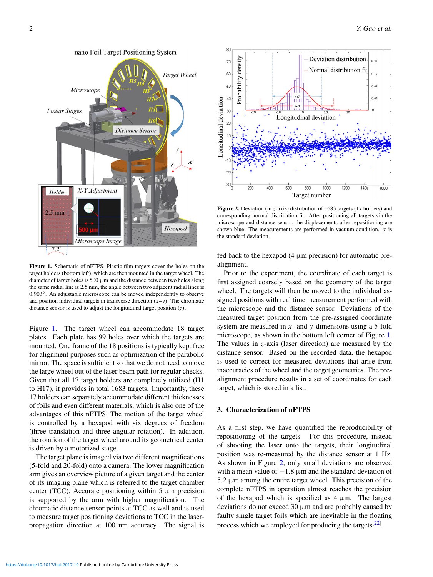<span id="page-1-0"></span>

Figure 1. Schematic of nFTPS. Plastic film targets cover the holes on the target holders (bottom left), which are then mounted in the target wheel. The diameter of target holes is 500 µm and the distance between two holes along the same radial line is 2.5 mm, the angle between two adjacent radial lines is 0.903◦ . An adjustable microscope can be moved independently to observe and position individual targets in transverse direction  $(x-y)$ . The chromatic distance sensor is used to adjust the longitudinal target position (*z*).

Figure [1.](#page-1-0) The target wheel can accommodate 18 target plates. Each plate has 99 holes over which the targets are mounted. One frame of the 18 positions is typically kept free for alignment purposes such as optimization of the parabolic mirror. The space is sufficient so that we do not need to move the large wheel out of the laser beam path for regular checks. Given that all 17 target holders are completely utilized (H1 to H17), it provides in total 1683 targets. Importantly, these 17 holders can separately accommodate different thicknesses of foils and even different materials, which is also one of the advantages of this nFTPS. The motion of the target wheel is controlled by a hexapod with six degrees of freedom (three translation and three angular rotation). In addition, the rotation of the target wheel around its geometrical center is driven by a motorized stage.

The target plane is imaged via two different magnifications (5-fold and 20-fold) onto a camera. The lower magnification arm gives an overview picture of a given target and the center of its imaging plane which is referred to the target chamber center (TCC). Accurate positioning within  $5 \mu m$  precision is supported by the arm with higher magnification. The chromatic distance sensor points at TCC as well and is used to measure target positioning deviations to TCC in the laserpropagation direction at 100 nm accuracy. The signal is

<span id="page-1-1"></span>

Figure 2. Deviation (in *z*-axis) distribution of 1683 targets (17 holders) and corresponding normal distribution fit. After positioning all targets via the microscope and distance sensor, the displacements after repositioning are shown blue. The measurements are performed in vacuum condition.  $\sigma$  is the standard deviation.

fed back to the hexapod  $(4 \mu m)$  precision) for automatic prealignment.

Prior to the experiment, the coordinate of each target is first assigned coarsely based on the geometry of the target wheel. The targets will then be moved to the individual assigned positions with real time measurement performed with the microscope and the distance sensor. Deviations of the measured target position from the pre-assigned coordinate system are measured in *x*- and *y*-dimensions using a 5-fold microscope, as shown in the bottom left corner of Figure [1.](#page-1-0) The values in *z*-axis (laser direction) are measured by the distance sensor. Based on the recorded data, the hexapod is used to correct for measured deviations that arise from inaccuracies of the wheel and the target geometries. The prealignment procedure results in a set of coordinates for each target, which is stored in a list.

# 3. Characterization of nFTPS

As a first step, we have quantified the reproducibility of repositioning of the targets. For this procedure, instead of shooting the laser onto the targets, their longitudinal position was re-measured by the distance sensor at 1 Hz. As shown in Figure [2,](#page-1-1) only small deviations are observed with a mean value of  $-1.8 \mu$ m and the standard deviation of  $5.2 \mu$ m among the entire target wheel. This precision of the complete nFTPS in operation almost reaches the precision of the hexapod which is specified as  $4 \mu m$ . The largest deviations do not exceed  $30 \mu m$  and are probably caused by faulty single target foils which are inevitable in the floating process which we employed for producing the targets<sup>[\[22\]](#page-4-14)</sup>.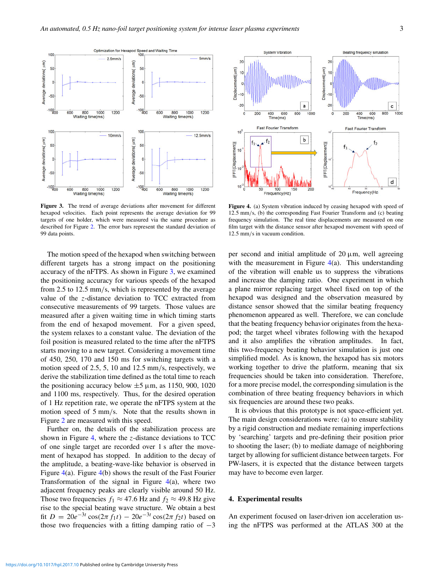

The motion speed of the hexapod when switching between different targets has a strong impact on the positioning accuracy of the nFTPS. As shown in Figure [3,](#page-2-0) we examined the positioning accuracy for various speeds of the hexapod from 2.5 to 12.5 mm/s, which is represented by the average value of the *z*-distance deviation to TCC extracted from consecutive measurements of 99 targets. Those values are measured after a given waiting time in which timing starts from the end of hexapod movement. For a given speed, the system relaxes to a constant value. The deviation of the foil position is measured related to the time after the nFTPS starts moving to a new target. Considering a movement time of 450, 250, 170 and 150 ms for switching targets with a motion speed of 2.5, 5, 10 and 12.5 mm/s, respectively, we derive the stabilization time defined as the total time to reach the positioning accuracy below  $\pm 5 \mu$ m, as 1150, 900, 1020 and 1100 ms, respectively. Thus, for the desired operation of 1 Hz repetition rate, we operate the nFTPS system at the motion speed of 5 mm/s. Note that the results shown in Figure [2](#page-1-1) are measured with this speed.

Further on, the details of the stabilization process are shown in Figure [4,](#page-2-1) where the *z*-distance deviations to TCC of one single target are recorded over 1 s after the movement of hexapod has stopped. In addition to the decay of the amplitude, a beating-wave-like behavior is observed in Figure [4\(](#page-2-1)a). Figure [4\(](#page-2-1)b) shows the result of the Fast Fourier Transformation of the signal in Figure  $4(a)$  $4(a)$ , where two adjacent frequency peaks are clearly visible around 50 Hz. Those two frequencies  $f_1 \approx 47.6$  Hz and  $f_2 \approx 49.8$  Hz give rise to the special beating wave structure. We obtain a best fit  $D = 20e^{-3t}\cos(2\pi f_1 t) - 20e^{-3t}\cos(2\pi f_2 t)$  based on those two frequencies with a fitting damping ratio of  $-3$ 

Figure 4. (a) System vibration induced by ceasing hexapod with speed of 12.5 mm/s, (b) the corresponding Fast Fourier Transform and (c) beating frequency simulation. The real time displacements are measured on one film target with the distance sensor after hexapod movement with speed of 12.5 mm/s in vacuum condition.

per second and initial amplitude of  $20 \mu m$ , well agreeing with the measurement in Figure  $4(a)$  $4(a)$ . This understanding of the vibration will enable us to suppress the vibrations and increase the damping ratio. One experiment in which a plane mirror replacing target wheel fixed on top of the hexapod was designed and the observation measured by distance sensor showed that the similar beating frequency phenomenon appeared as well. Therefore, we can conclude that the beating frequency behavior originates from the hexapod; the target wheel vibrates following with the hexapod and it also amplifies the vibration amplitudes. In fact, this two-frequency beating behavior simulation is just one simplified model. As is known, the hexapod has six motors working together to drive the platform, meaning that six frequencies should be taken into consideration. Therefore, for a more precise model, the corresponding simulation is the combination of three beating frequency behaviors in which six frequencies are around these two peaks.

It is obvious that this prototype is not space-efficient yet. The main design considerations were: (a) to ensure stability by a rigid construction and mediate remaining imperfections by 'searching' targets and pre-defining their position prior to shooting the laser; (b) to mediate damage of neighboring target by allowing for sufficient distance between targets. For PW-lasers, it is expected that the distance between targets may have to become even larger.

### 4. Experimental results

An experiment focused on laser-driven ion acceleration using the nFTPS was performed at the ATLAS 300 at the

<span id="page-2-0"></span>

<span id="page-2-1"></span>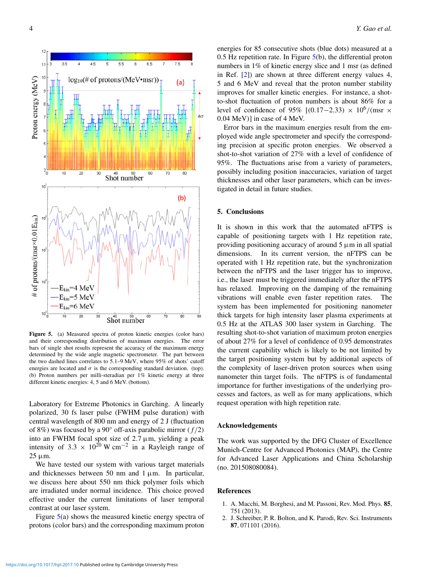<span id="page-3-2"></span>

Figure 5. (a) Measured spectra of proton kinetic energies (color bars) and their corresponding distribution of maximum energies. The error bars of single shot results represent the accuracy of the maximum energy determined by the wide angle magnetic spectrometer. The part between the two dashed lines correlates to 5.1–9 MeV, where 95% of shots' cutoff energies are located and  $\sigma$  is the corresponding standard deviation. (top). (b) Proton numbers per milli-steradian per 1% kinetic energy at three different kinetic energies: 4, 5 and 6 MeV. (bottom).

Laboratory for Extreme Photonics in Garching. A linearly polarized, 30 fs laser pulse (FWHM pulse duration) with central wavelength of 800 nm and energy of 2 J (fluctuation of 8%) was focused by a 90 $\degree$  off-axis parabolic mirror  $(f/2)$ into an FWHM focal spot size of  $2.7 \mu m$ , yielding a peak intensity of 3.3  $\times$  10<sup>20</sup> W cm<sup>-2</sup> in a Rayleigh range of  $25 \mu m$ .

We have tested our system with various target materials and thicknesses between 50 nm and  $1 \mu$ m. In particular, we discuss here about 550 nm thick polymer foils which are irradiated under normal incidence. This choice proved effective under the current limitations of laser temporal contrast at our laser system.

Figure [5\(](#page-3-2)a) shows the measured kinetic energy spectra of protons (color bars) and the corresponding maximum proton energies for 85 consecutive shots (blue dots) measured at a 0.5 Hz repetition rate. In Figure [5\(](#page-3-2)b), the differential proton numbers in 1% of kinetic energy slice and 1 msr (as defined in Ref. [\[2\]](#page-3-1)) are shown at three different energy values 4, 5 and 6 MeV and reveal that the proton number stability improves for smaller kinetic energies. For instance, a shotto-shot fluctuation of proton numbers is about 86% for a level of confidence of 95% [(0.17–2.33) × 10<sup>6</sup>/(msr × 0.04 MeV)] in case of 4 MeV.

Error bars in the maximum energies result from the employed wide angle spectrometer and specify the corresponding precision at specific proton energies. We observed a shot-to-shot variation of 27% with a level of confidence of 95%. The fluctuations arise from a variety of parameters, possibly including position inaccuracies, variation of target thicknesses and other laser parameters, which can be investigated in detail in future studies.

## 5. Conclusions

It is shown in this work that the automated nFTPS is capable of positioning targets with 1 Hz repetition rate, providing positioning accuracy of around  $5 \mu m$  in all spatial dimensions. In its current version, the nFTPS can be operated with 1 Hz repetition rate, but the synchronization between the nFTPS and the laser trigger has to improve, i.e., the laser must be triggered immediately after the nFTPS has relaxed. Improving on the damping of the remaining vibrations will enable even faster repetition rates. The system has been implemented for positioning nanometer thick targets for high intensity laser plasma experiments at 0.5 Hz at the ATLAS 300 laser system in Garching. The resulting shot-to-shot variation of maximum proton energies of about 27% for a level of confidence of 0.95 demonstrates the current capability which is likely to be not limited by the target positioning system but by additional aspects of the complexity of laser-driven proton sources when using nanometer thin target foils. The nFTPS is of fundamental importance for further investigations of the underlying processes and factors, as well as for many applications, which request operation with high repetition rate.

## Acknowledgements

The work was supported by the DFG Cluster of Excellence Munich-Centre for Advanced Photonics (MAP), the Centre for Advanced Laser Applications and China Scholarship (no. 201508080084).

## References

- <span id="page-3-0"></span>1. A. Macchi, M. Borghesi, and M. Passoni, Rev. Mod. Phys. 85, 751 (2013).
- <span id="page-3-1"></span>2. J. Schreiber, P. R. Bolton, and K. Parodi, Rev. Sci. Instruments 87, 071101 (2016).